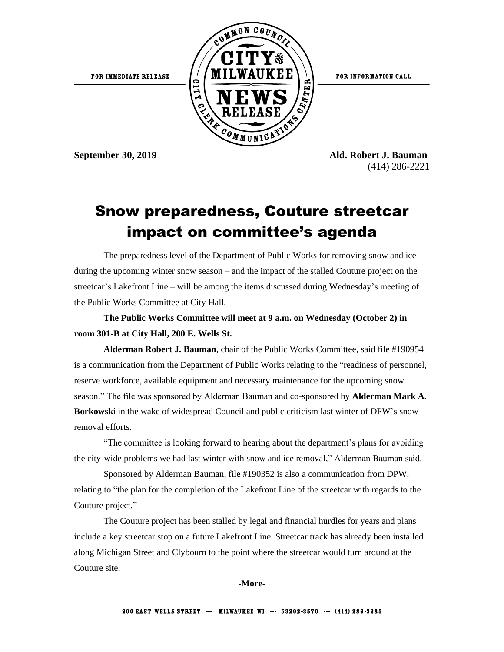

(414) 286-2221

## Snow preparedness, Couture streetcar impact on committee's agenda

The preparedness level of the Department of Public Works for removing snow and ice during the upcoming winter snow season – and the impact of the stalled Couture project on the streetcar's Lakefront Line – will be among the items discussed during Wednesday's meeting of the Public Works Committee at City Hall.

**The Public Works Committee will meet at 9 a.m. on Wednesday (October 2) in room 301-B at City Hall, 200 E. Wells St.**

**Alderman Robert J. Bauman**, chair of the Public Works Committee, said file #190954 is a communication from the Department of Public Works relating to the "readiness of personnel, reserve workforce, available equipment and necessary maintenance for the upcoming snow season." The file was sponsored by Alderman Bauman and co-sponsored by **Alderman Mark A. Borkowski** in the wake of widespread Council and public criticism last winter of DPW's snow removal efforts.

"The committee is looking forward to hearing about the department's plans for avoiding the city-wide problems we had last winter with snow and ice removal," Alderman Bauman said.

Sponsored by Alderman Bauman, file #190352 is also a communication from DPW, relating to "the plan for the completion of the Lakefront Line of the streetcar with regards to the Couture project."

The Couture project has been stalled by legal and financial hurdles for years and plans include a key streetcar stop on a future Lakefront Line. Streetcar track has already been installed along Michigan Street and Clybourn to the point where the streetcar would turn around at the Couture site.

**-More-**